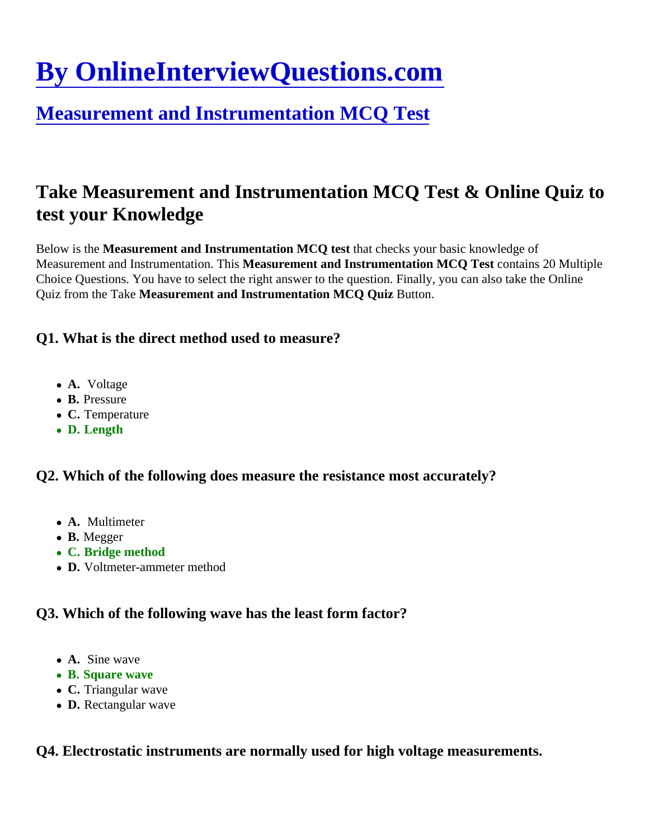# [By OnlineInterviewQuestions.com](https://www.onlineinterviewquestions.com/)

# [Measurement and Instrumentation MCQ Tes](https://www.onlineinterviewquestions.com/measurement-and-instrumentation-mcq/)t

# Take Measurement and Instrumentation MCQ Test & Online Quiz to test your Knowledge

Below is the Measurement and Instrumentation MCQ test that checks your basic knowledge of Measurement and Instrumentation. This asurement and Instrumentation MCQ Test contains 20 Multiple Choice Questions. You have to select the right answer to the question. Finally, you can also take the Online Quiz from the Tak&Measurement and Instrumentation MCQ Quiz Button.

Q1. What is the direct method used to measure?

- A. Voltage
- B. Pressure
- C. Temperature
- D. Length

Q2. Which of the following does measure the resistance most accurately?

- A. Multimeter
- B. Megger
- C. Bridge method
- D. Voltmeter-ammeter method

Q3. Which of the following wave has the least form factor?

- A. Sine wave
- B. Square wave
- C. Triangular wave
- D. Rectangular wave

Q4. Electrostatic instruments are normally used for high voltage measurements.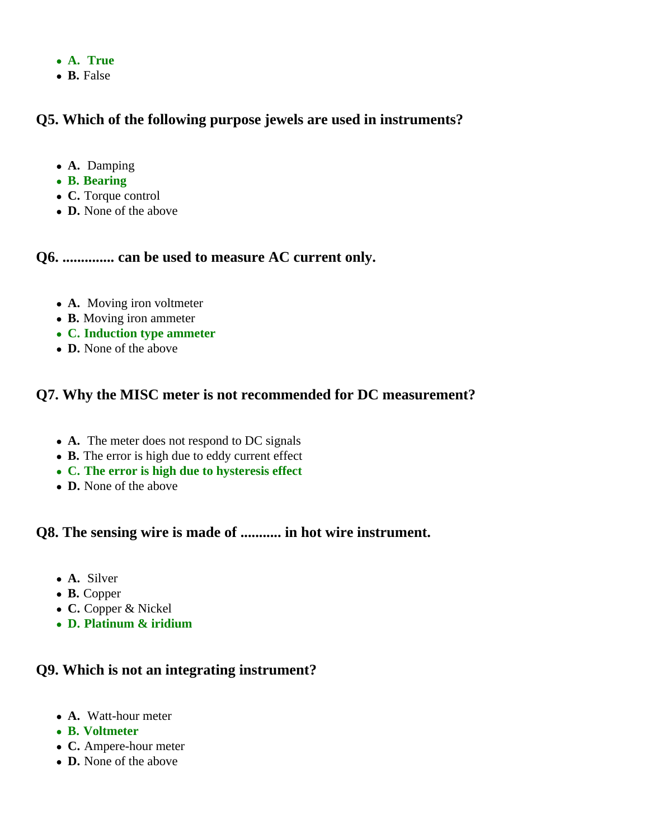- **A. True**
- **B.** False

#### **Q5. Which of the following purpose jewels are used in instruments?**

- **A.** Damping
- **B. Bearing**
- **C.** Torque control
- **D.** None of the above

**Q6. .............. can be used to measure AC current only.**

- **A.** Moving iron voltmeter
- **B.** Moving iron ammeter
- **C. Induction type ammeter**
- **D.** None of the above

#### **Q7. Why the MISC meter is not recommended for DC measurement?**

- **A.** The meter does not respond to DC signals
- **B.** The error is high due to eddy current effect
- **C. The error is high due to hysteresis effect**
- **D.** None of the above

**Q8. The sensing wire is made of ........... in hot wire instrument.**

- **A.** Silver
- **B.** Copper
- **C.** Copper & Nickel
- **D. Platinum & iridium**

#### **Q9. Which is not an integrating instrument?**

- **A.** Watt-hour meter
- **B. Voltmeter**
- **C.** Ampere-hour meter
- **D.** None of the above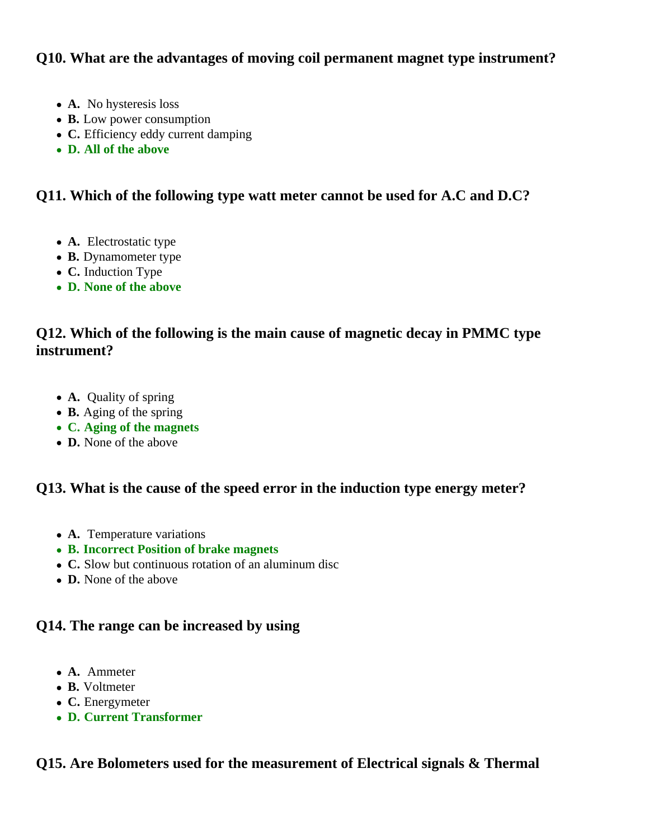#### **Q10. What are the advantages of moving coil permanent magnet type instrument?**

- **A.** No hysteresis loss
- **B.** Low power consumption
- **C.** Efficiency eddy current damping
- **D. All of the above**

#### **Q11. Which of the following type watt meter cannot be used for A.C and D.C?**

- **A.** Electrostatic type
- **B.** Dynamometer type
- **C.** Induction Type
- **D. None of the above**

## **Q12. Which of the following is the main cause of magnetic decay in PMMC type instrument?**

- **A.** Quality of spring
- **B.** Aging of the spring
- **C. Aging of the magnets**
- **D.** None of the above

#### **Q13. What is the cause of the speed error in the induction type energy meter?**

- **A.** Temperature variations
- **B. Incorrect Position of brake magnets**
- **C.** Slow but continuous rotation of an aluminum disc
- **D.** None of the above

#### **Q14. The range can be increased by using**

- **A.** Ammeter
- **B.** Voltmeter
- **C.** Energymeter
- **D. Current Transformer**

#### **Q15. Are Bolometers used for the measurement of Electrical signals & Thermal**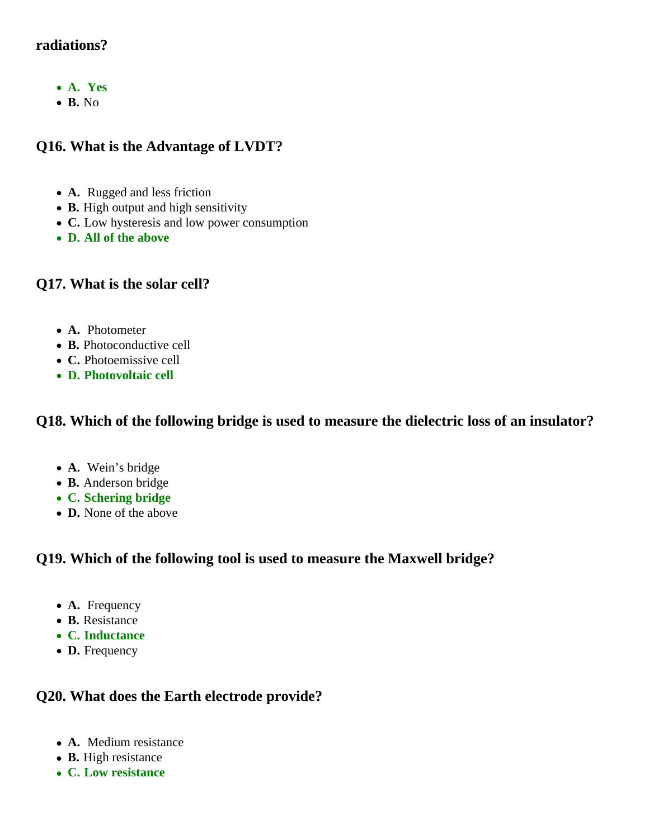## **radiations?**

- **A. Yes**
- **B.** No

## **Q16. What is the Advantage of LVDT?**

- **A.** Rugged and less friction
- **B.** High output and high sensitivity
- **C.** Low hysteresis and low power consumption
- **D. All of the above**

#### **Q17. What is the solar cell?**

- **A.** Photometer
- **B.** Photoconductive cell
- **C.** Photoemissive cell
- **D. Photovoltaic cell**

#### **Q18. Which of the following bridge is used to measure the dielectric loss of an insulator?**

- **A.** Wein's bridge
- **B.** Anderson bridge
- **C. Schering bridge**
- **D.** None of the above

#### **Q19. Which of the following tool is used to measure the Maxwell bridge?**

- **A.** Frequency
- **B.** Resistance
- **C. Inductance**
- **D.** Frequency

#### **Q20. What does the Earth electrode provide?**

- **A.** Medium resistance
- **B.** High resistance
- **C. Low resistance**